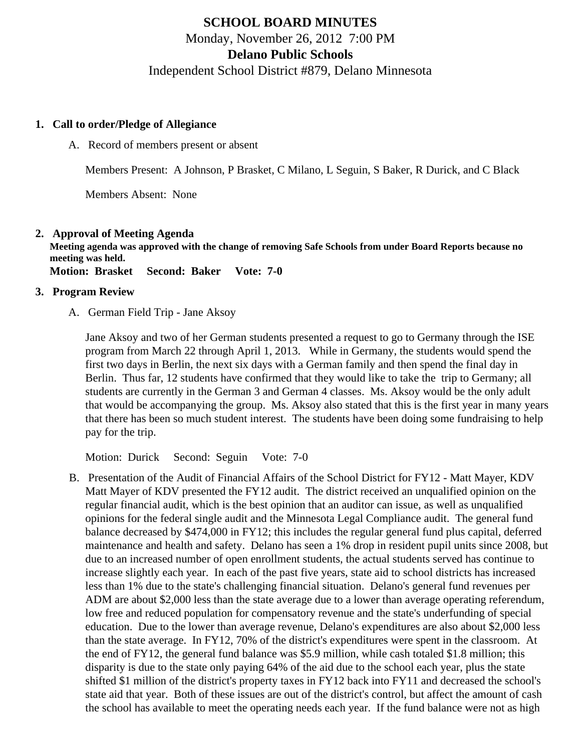## SCHOOL BOARD MINUTES Monday, November 26, 2012 7:00 PM Delano Public Schools Independent School District #879, Delano Minnesota

- 1. Call to order/Pledge of Allegiance
	- A. Record of members present or absent

Members Present: A Johnson, P Brasket, C Milano, L Seguin, S Baker, R Durick, and C Black

Members Absent: None

2. Approval of Meeting Agenda

Meeting agenda was approved with the change of removing Safe Schools from under Board Reports because no meeting was held.

Motion: Brasket Second: Baker Vote: 7-0

- 3. Program Review
	- A. German Field Trip Jane Aksoy

Jane Aksoy and two of her German students presented a request to go to Germany through the IS program from March 22 through April 1, 2013. While in Germany, the students would spend the first two days in Berlin, the next six days with a German family and then spend the final day in Berlin. Thus far, 12 students have confirmed that they would like to take the trip to Germany; all students are currently in the German 3 and German 4 classes. Ms. Aksoy would be the only adult that would be accompanying the group. Ms. Aksoy also stated that this is the first year in many ye that there has been so much student interest. The students have been doing some fundraising to help pay for the trip.

Motion: Durick Second: Seguin Vote: 7-0

B. Presentation of the Audit of Financial Affairs of the School District for FY12 - Matt M&REV, Matt Mayer of KDV presented the FY12 audit. The district received an unqualified opinion on the regular financial audit, which is the best opinion that an auditor can issue, as well as unqualified opinions for the federal single audit and the Minnesota Legal Compliance audit. The general fund balance decreased by \$474,000 in FY12; this includes the regular general fund plus capital, deferre maintenance and health and safety. Delano has seen a 1% drop in resident pupil units since 2008 due to an increased number of open enrollment students, the actual students served has continue increase slightly each year. In each of the past five years, state aid to school districts has increase less than 1% due to the state's challenging financial situation. Delano's general fund revenues per ADM are about \$2,000 less than the state average due to a lower than average operating referend low free and reduced population for compensatory revenue and the state's underfunding of special education. Due to the lower than average revenue, Delano's expenditures are also about \$2,000 le than the state average. In FY12, 70% of the district's expenditures were spent in the classroom. At the end of FY12, the general fund balance was \$5.9 million, while cash totaled \$1.8 million; this disparity is due to the state only paying 64% of the aid due to the school each year, plus the state shifted \$1 million of the district's property taxes in FY12 back into FY11 and decreased the school's state aid that year. Both of these issues are out of the district's control, but affect the amount of ca the school has available to meet the operating needs each year. If the fund balance were not as h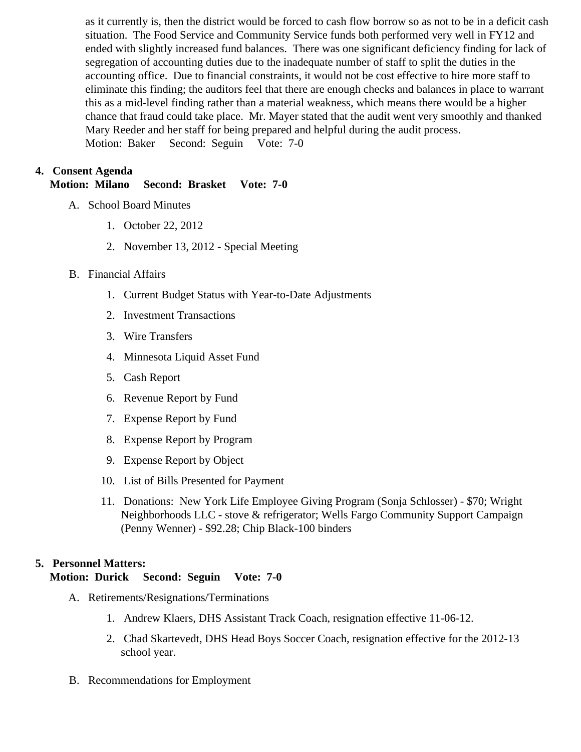as it currently is, then the district would be forced to cash flow borrow so as not to be in a deficit ca situation. The Food Service and Community Service funds both performed very well in FY12 and ended with slightly increased fund balances. There was one significant deficiency finding for lack of segregation of accounting duties due to the inadequate number of staff to split the duties in the accounting office. Due to financial constraints, it would not be cost effective to hire more staff to eliminate this finding; the auditors feel that there are enough checks and balances in place to warra this as a mid-level finding rather than a material weakness, which means there would be a higher chance that fraud could take place. Mr. Mayer stated that the audit went very smoothly and thanke Mary Reeder and her staff for being prepared and helpful during the audit process. Motion: Baker Second: Seguin Vote: 7-0

## 4. Consent Agenda

Motion: Milano Second: Brasket Vote: 7-0

- A. School Board Minutes
	- 1. [October 22, 201](/docs/district/Business_Office/10.22.12_Minutes.pdf)2
	- 2. [November 13, 201](/docs/district/Business_Office/Board_Minutes_11.13.12.pdf)2 Special Meeting
- B. Financial Affairs
	- 1. [Current Budget Statu](/docs/district/Business_Office/Budget_Report_Nov_2012.pdf)s ith Year-to-Date Adjustments
	- 2. [Investment Transactio](/docs/district/Business_Office/Investment_Schedule_2012-13.pdf )ns
	- 3. [Wire Transfer](/docs/district/Business_Office/Wire_Transfer.pdf   	)s
	- 4. [Minnesota Liquid Asset Fun](/docs/district/Business_Office/LiqAFY12.pdf)d
	- 5. [Cash Repo](/docs/district/Business_Office/October_2012.pdf)rt
	- 6. [Revenue Report by Fu](/docs/district/Business_Office/SCHOOL_BOARD_REPORTS_-_REVENUE_BY_FUND_TOTAL__(Date__6_2013).pdf)nd
	- 7. [Expense Report by Fu](/docs/district/Business_Office/SCHOOL_BOARD_REPORTS_-_EXP_BY_FUND_TOTAL__(Date__6_2013).pdf)nd
	- 8. [Expense Report by Progra](/docs/district/Business_Office/SCHOOL_BOARD_REPORTS_-_EXPENDITURES_BY_PROGRAM__(Date__6_2013).pdf)m
	- 9. [Expense Report by Obj](/docs/district/Business_Office/SCHOOL_BOARD_REPORTS_-_EXPENDITURES_BY_OBJECT__(Date__6_2013).pdf)ec
	- 10. [List of Bills Presented for Payme](/docs/district/Business_Office/Nov_12_Bills_Paid.pdf)nt
	- 11. Donations: New York Life Employee Giving Program (Sonja Schlosser) \$70; Wright Neighborhoods LLC - stove & refrigerator; Wells Fargo Community Support Campaign (Penny Wenner) - \$92.28; Chip Black-100 binders

## 5. Personnel Matters:

Motion: Durick Second: Seguin Vote: 7-0

- A. Retirements/Resignations/Terminations
	- 1. Andrew Klaers, DHS Assistant Track Coach, resignation effective 11-06-12.
	- 2. Chad Skartevedt, DHS Head Boys Soccer Coach, resignation effective for the 2012-13 school year.
- B. Recommendations for Employment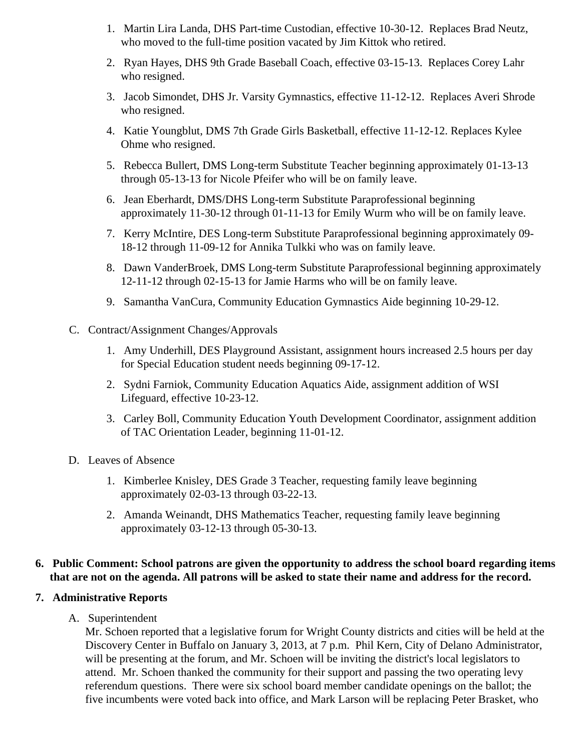- 1. Martin Lira Landa, DHS Part-time Custodian, effective 10-30-12. Replaces Brad Neutz, who moved to the full-time position vacated by Jim Kittok who retired.
- 2. Ryan Hayes, DHS 9th Grade Baseball Coach, effective 03-15-13. Replaces Corey Lahr who resigned.
- 3. Jacob Simondet, DHS Jr. Varsity Gymnastics, effective 11-12-12. Replaces Averi Shrode who resigned.
- 4. Katie Youngblut, DMS 7th Grade Girls Basketball, effective 11-12-12. Replaces Kylee Ohme who resigned.
- 5. Rebecca Bullert, DMS Long-term Substitute Teacher beginning approximately 01-13-13 through 05-13-13 for Nicole Pfeifer who will be on family leave.
- 6. Jean Eberhardt, DMS/DHS Long-term Substitute Paraprofessional beginning approximately 11-30-12 through 01-11-13 for Emily Wurm who will be on family leave.
- 7. Kerry McIntire, DES Long-term Substitute Paraprofessional beginning approximately 09- 18-12 through 11-09-12 for Annika Tulkki who was on family leave.
- 8. Dawn VanderBroek, DMS Long-term Substitute Paraprofessional beginning approximately 12-11-12 through 02-15-13 for Jamie Harms who will be on family leave.
- 9. Samantha VanCura, Community Education Gymnastics Aide beginning 10-29-12.

#### C. Contract/Assignment Changes/Approvals

- 1. Amy Underhill, DES Playground Assistant, assignment hours increased 2.5 hours per day for Special Education student needs beginning 09-17-12.
- 2. Sydni Farniok, Community Education Aquatics Aide, assignment addition of WSI Lifeguard, effective 10-23-12.
- 3. Carley Boll, Community Education Youth Development Coordinator, assignment addition of TAC Orientation Leader, beginning 11-01-12.
- D. Leaves of Absence
	- 1. Kimberlee Knisley, DES Grade 3 Teacher, requesting family leave beginning approximately 02-03-13 through 03-22-13.
	- 2. Amanda Weinandt, DHS Mathematics Teacher, requesting family leave beginning approximately 03-12-13 through 05-30-13.

#### **6. Public Comment: School patrons are given the opportunity to address the school board regarding items that are not on the agenda. All patrons will be asked to state their name and address for the record.**

# **7. Administrative Reports**

## A. Superintendent

Mr. Schoen reported that a legislative forum for Wright County districts and cities will be held at the Discovery Center in Buffalo on January 3, 2013, at 7 p.m. Phil Kern, City of Delano Administrator, will be presenting at the forum, and Mr. Schoen will be inviting the district's local legislators to attend. Mr. Schoen thanked the community for their support and passing the two operating levy referendum questions. There were six school board member candidate openings on the ballot; the five incumbents were voted back into office, and Mark Larson will be replacing Peter Brasket, who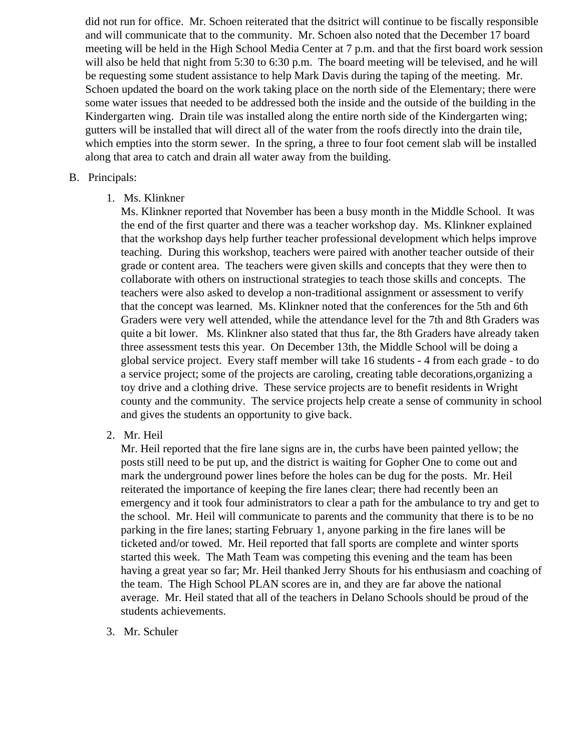did not run for office. Mr. Schoen reiterated that the dsitrict will continue to be fiscally responsible and will communicate that to the community. Mr. Schoen also noted that the December 17 board meeting will be held in the High School Media Center at 7 p.m. and that the first board work session will also be held that night from 5:30 to 6:30 p.m. The board meeting will be televised, and he will be requesting some student assistance to help Mark Davis during the taping of the meeting. Mr. Schoen updated the board on the work taking place on the north side of the Elementary; there were some water issues that needed to be addressed both the inside and the outside of the building in the Kindergarten wing. Drain tile was installed along the entire north side of the Kindergarten wing; gutters will be installed that will direct all of the water from the roofs directly into the drain tile, which empties into the storm sewer. In the spring, a three to four foot cement slab will be installed along that area to catch and drain all water away from the building.

#### B. Principals:

1. Ms. Klinkner

Ms. Klinkner reported that November has been a busy month in the Middle School. It was the end of the first quarter and there was a teacher workshop day. Ms. Klinkner explained that the workshop days help further teacher professional development which helps improve teaching. During this workshop, teachers were paired with another teacher outside of their grade or content area. The teachers were given skills and concepts that they were then to collaborate with others on instructional strategies to teach those skills and concepts. The teachers were also asked to develop a non-traditional assignment or assessment to verify that the concept was learned. Ms. Klinkner noted that the conferences for the 5th and 6th Graders were very well attended, while the attendance level for the 7th and 8th Graders was quite a bit lower. Ms. Klinkner also stated that thus far, the 8th Graders have already taken three assessment tests this year. On December 13th, the Middle School will be doing a global service project. Every staff member will take 16 students - 4 from each grade - to do a service project; some of the projects are caroling, creating table decorations,organizing a toy drive and a clothing drive. These service projects are to benefit residents in Wright county and the community. The service projects help create a sense of community in school and gives the students an opportunity to give back.

2. Mr. Heil

Mr. Heil reported that the fire lane signs are in, the curbs have been painted yellow; the posts still need to be put up, and the district is waiting for Gopher One to come out and mark the underground power lines before the holes can be dug for the posts. Mr. Heil reiterated the importance of keeping the fire lanes clear; there had recently been an emergency and it took four administrators to clear a path for the ambulance to try and get to the school. Mr. Heil will communicate to parents and the community that there is to be no parking in the fire lanes; starting February 1, anyone parking in the fire lanes will be ticketed and/or towed. Mr. Heil reported that fall sports are complete and winter sports started this week. The Math Team was competing this evening and the team has been having a great year so far; Mr. Heil thanked Jerry Shouts for his enthusiasm and coaching of the team. The High School PLAN scores are in, and they are far above the national average. Mr. Heil stated that all of the teachers in Delano Schools should be proud of the students achievements.

3. Mr. Schuler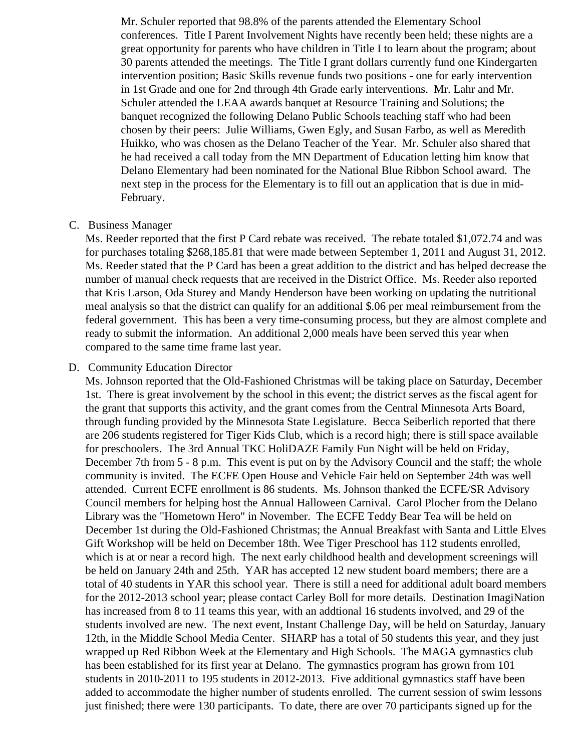Mr. Schuler reported that 98.8% of the parents attended the Elementary School conferences. Title I Parent Involvement Nights have recently been held; these nights are a great opportunity for parents who have children in Title I to learn about the program; about 30 parents attended the meetings. The Title I grant dollars currently fund one Kindergarten intervention position; Basic Skills revenue funds two positions - one for early intervention in 1st Grade and one for 2nd through 4th Grade early interventions. Mr. Lahr and Mr. Schuler attended the LEAA awards banquet at Resource Training and Solutions; the banquet recognized the following Delano Public Schools teaching staff who had been chosen by their peers: Julie Williams, Gwen Egly, and Susan Farbo, as well as Meredith Huikko, who was chosen as the Delano Teacher of the Year. Mr. Schuler also shared that he had received a call today from the MN Department of Education letting him know that Delano Elementary had been nominated for the National Blue Ribbon School award. The next step in the process for the Elementary is to fill out an application that is due in mid-February.

#### C. Business Manager

Ms. Reeder reported that the first P Card rebate was received. The rebate totaled \$1,072.74 and  $\upsilon$ for purchases totaling \$268,185.81 that were made between September 1, 2011 and August 31, 20 Ms. Reeder stated that the P Card has been a great addition to the district and has helped decreas number of manual check requests that are received in the District Office. Ms. Reeder also reported that Kris Larson, Oda Sturey and Mandy Henderson have been working on updating the nutritional meal analysis so that the district can qualify for an additional \$.06 per meal reimbursement from the federal government. This has been a very time-consuming process, but they are almost complete ready to submit the information. An additional 2,000 meals have been served this year when compared to the same time frame last year.

#### D. Community EducationDirector

Ms. Johnson reported that the Old-Fashioned Christmas will be taking place on Saturday, Decemb 1st. There is great involvement by the school in this event; the district serves as the fiscal agent for the grant that supports this activity, and the grant comes from the Central Minnesota Arts Board, through funding provided by the Minnesota State Legislature. Becca Seiberlich reported that there are 206 students registered for Tiger Kids Club, which is a record high; there is still space available for preschoolers. The 3rd Annual TKC HoliDAZE Family Fun Night will be held on Friday, December 7th from 5 - 8 p.m. This event is put on by the Advisory Council and the staff; the whole community is invited. The ECFE Open House and Vehicle Fair held on September 24th was well attended. Current ECFE enrollment is 86 students. Ms. Johnson thanked the ECFE/SR Advisory Council members for helping host the Annual Halloween Carnival. Carol Plocher from the Delano Library was the "Hometown Hero" in November. The ECFE Teddy Bear Tea will be held on December 1st during the Old-Fashioned Christmas; the Annual Breakfast with Santa and Little Elve Gift Workshop will be held on December 18th. Wee Tiger Preschool has 112 students enrolled, which is at or near a record high. The next early childhood health and development screenings will be held on January 24th and 25th. YAR has accepted 12 new student board members; there are a total of 40 students in YAR this school year. There is still a need for additional adult board membe for the 2012-2013 school year; please contact Carley Boll for more details. Destination ImagiNatio has increased from 8 to 11 teams this year, with an addtional 16 students involved, and 29 of the students involved are new. The next event, Instant Challenge Day, will be held on Saturday, Janua 12th, in the Middle School Media Center. SHARP has a total of 50 students this year, and they just wrapped up Red Ribbon Week at the Elementary and High Schools. The MAGA gymnastics club has been established for its first year at Delano. The gymnastics program has grown from 101 students in 2010-2011 to 195 students in 2012-2013. Five additional gymnastics staff have been added to accommodate the higher number of students enrolled. The current session of swim lesson just finished; there were 130 participants. To date, there are over 70 participants signed up for the